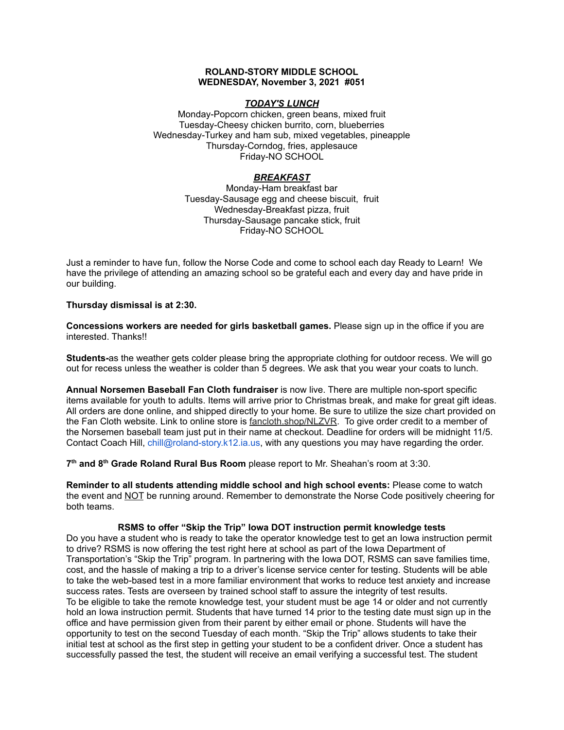### **ROLAND-STORY MIDDLE SCHOOL WEDNESDAY, November 3, 2021 #051**

# *TODAY'S LUNCH*

Monday-Popcorn chicken, green beans, mixed fruit Tuesday-Cheesy chicken burrito, corn, blueberries Wednesday-Turkey and ham sub, mixed vegetables, pineapple Thursday-Corndog, fries, applesauce Friday-NO SCHOOL

# *BREAKFAST*

Monday-Ham breakfast bar Tuesday-Sausage egg and cheese biscuit, fruit Wednesday-Breakfast pizza, fruit Thursday-Sausage pancake stick, fruit Friday-NO SCHOOL

Just a reminder to have fun, follow the Norse Code and come to school each day Ready to Learn! We have the privilege of attending an amazing school so be grateful each and every day and have pride in our building.

**Thursday dismissal is at 2:30.**

**Concessions workers are needed for girls basketball games.** Please sign up in the office if you are interested. Thanks!!

**Students-**as the weather gets colder please bring the appropriate clothing for outdoor recess. We will go out for recess unless the weather is colder than 5 degrees. We ask that you wear your coats to lunch.

**Annual Norsemen Baseball Fan Cloth fundraiser** is now live. There are multiple non-sport specific items available for youth to adults. Items will arrive prior to Christmas break, and make for great gift ideas. All orders are done online, and shipped directly to your home. Be sure to utilize the size chart provided on the Fan Cloth website. Link to online store is [fancloth.shop/NLZVR.](http://fancloth.shop/NLZVR) To give order credit to a member of the Norsemen baseball team just put in their name at checkout. Deadline for orders will be midnight 11/5. Contact Coach Hill, chill@roland-story.k12.ia.us, with any questions you may have regarding the order.

**7 th and 8 th Grade Roland Rural Bus Room** please report to Mr. Sheahan's room at 3:30.

**Reminder to all students attending middle school and high school events:** Please come to watch the event and NOT be running around. Remember to demonstrate the Norse Code positively cheering for both teams.

## **RSMS to offer "Skip the Trip" Iowa DOT instruction permit knowledge tests**

Do you have a student who is ready to take the operator knowledge test to get an Iowa instruction permit to drive? RSMS is now offering the test right here at school as part of the Iowa Department of Transportation's "Skip the Trip" program. In partnering with the Iowa DOT, RSMS can save families time, cost, and the hassle of making a trip to a driver's license service center for testing. Students will be able to take the web-based test in a more familiar environment that works to reduce test anxiety and increase success rates. Tests are overseen by trained school staff to assure the integrity of test results. To be eligible to take the remote knowledge test, your student must be age 14 or older and not currently hold an Iowa instruction permit. Students that have turned 14 prior to the testing date must sign up in the office and have permission given from their parent by either email or phone. Students will have the opportunity to test on the second Tuesday of each month. "Skip the Trip" allows students to take their initial test at school as the first step in getting your student to be a confident driver. Once a student has successfully passed the test, the student will receive an email verifying a successful test. The student